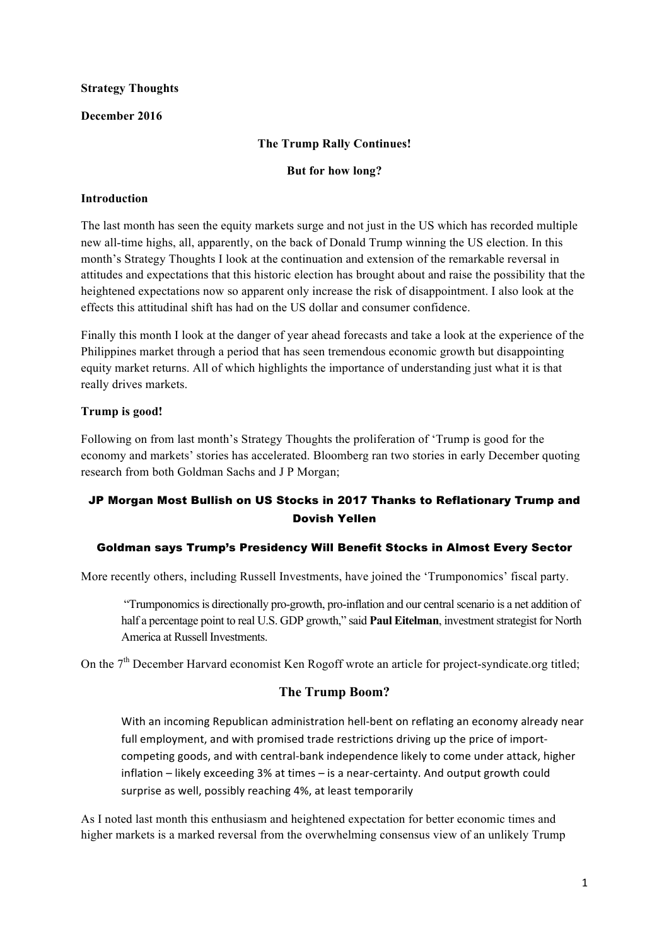### **Strategy Thoughts**

### **December 2016**

### **The Trump Rally Continues!**

### **But for how long?**

### **Introduction**

The last month has seen the equity markets surge and not just in the US which has recorded multiple new all-time highs, all, apparently, on the back of Donald Trump winning the US election. In this month's Strategy Thoughts I look at the continuation and extension of the remarkable reversal in attitudes and expectations that this historic election has brought about and raise the possibility that the heightened expectations now so apparent only increase the risk of disappointment. I also look at the effects this attitudinal shift has had on the US dollar and consumer confidence.

Finally this month I look at the danger of year ahead forecasts and take a look at the experience of the Philippines market through a period that has seen tremendous economic growth but disappointing equity market returns. All of which highlights the importance of understanding just what it is that really drives markets.

### **Trump is good!**

Following on from last month's Strategy Thoughts the proliferation of 'Trump is good for the economy and markets' stories has accelerated. Bloomberg ran two stories in early December quoting research from both Goldman Sachs and J P Morgan;

## JP Morgan Most Bullish on US Stocks in 2017 Thanks to Reflationary Trump and Dovish Yellen

### Goldman says Trump's Presidency Will Benefit Stocks in Almost Every Sector

More recently others, including Russell Investments, have joined the 'Trumponomics' fiscal party.

 "Trumponomics is directionally pro-growth, pro-inflation and our central scenario is a net addition of half a percentage point to real U.S. GDP growth," said **Paul Eitelman**, investment strategist for North America at Russell Investments.

On the 7<sup>th</sup> December Harvard economist Ken Rogoff wrote an article for project-syndicate.org titled;

### **The Trump Boom?**

With an incoming Republican administration hell-bent on reflating an economy already near full employment, and with promised trade restrictions driving up the price of importcompeting goods, and with central-bank independence likely to come under attack, higher inflation – likely exceeding 3% at times – is a near-certainty. And output growth could surprise as well, possibly reaching 4%, at least temporarily

As I noted last month this enthusiasm and heightened expectation for better economic times and higher markets is a marked reversal from the overwhelming consensus view of an unlikely Trump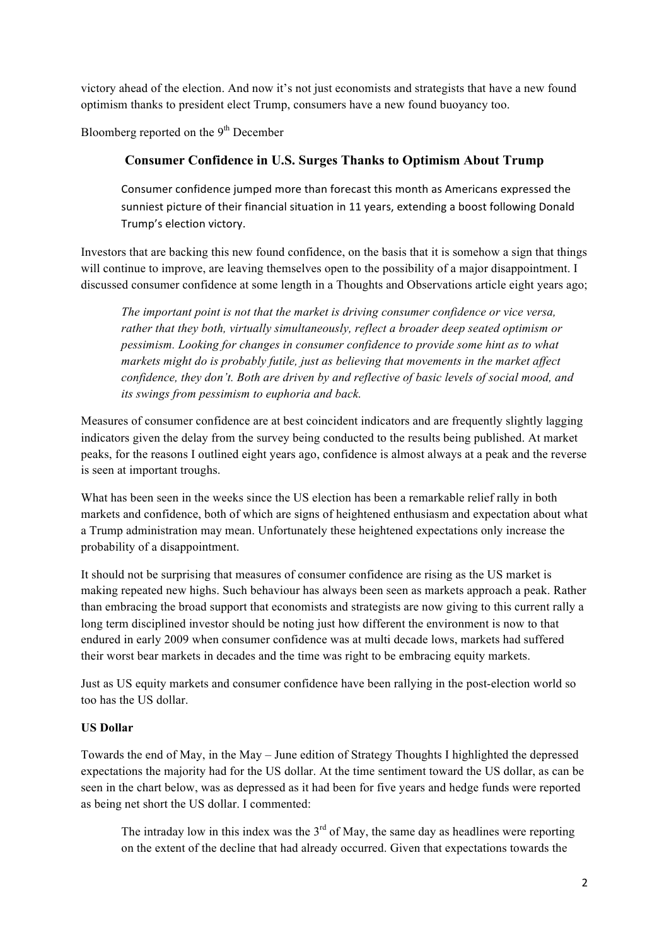victory ahead of the election. And now it's not just economists and strategists that have a new found optimism thanks to president elect Trump, consumers have a new found buoyancy too.

Bloomberg reported on the 9<sup>th</sup> December

## **Consumer Confidence in U.S. Surges Thanks to Optimism About Trump**

Consumer confidence jumped more than forecast this month as Americans expressed the sunniest picture of their financial situation in 11 years, extending a boost following Donald Trump's election victory.

Investors that are backing this new found confidence, on the basis that it is somehow a sign that things will continue to improve, are leaving themselves open to the possibility of a major disappointment. I discussed consumer confidence at some length in a Thoughts and Observations article eight years ago;

*The important point is not that the market is driving consumer confidence or vice versa, rather that they both, virtually simultaneously, reflect a broader deep seated optimism or pessimism. Looking for changes in consumer confidence to provide some hint as to what markets might do is probably futile, just as believing that movements in the market affect confidence, they don't. Both are driven by and reflective of basic levels of social mood, and its swings from pessimism to euphoria and back.*

Measures of consumer confidence are at best coincident indicators and are frequently slightly lagging indicators given the delay from the survey being conducted to the results being published. At market peaks, for the reasons I outlined eight years ago, confidence is almost always at a peak and the reverse is seen at important troughs.

What has been seen in the weeks since the US election has been a remarkable relief rally in both markets and confidence, both of which are signs of heightened enthusiasm and expectation about what a Trump administration may mean. Unfortunately these heightened expectations only increase the probability of a disappointment.

It should not be surprising that measures of consumer confidence are rising as the US market is making repeated new highs. Such behaviour has always been seen as markets approach a peak. Rather than embracing the broad support that economists and strategists are now giving to this current rally a long term disciplined investor should be noting just how different the environment is now to that endured in early 2009 when consumer confidence was at multi decade lows, markets had suffered their worst bear markets in decades and the time was right to be embracing equity markets.

Just as US equity markets and consumer confidence have been rallying in the post-election world so too has the US dollar.

### **US Dollar**

Towards the end of May, in the May – June edition of Strategy Thoughts I highlighted the depressed expectations the majority had for the US dollar. At the time sentiment toward the US dollar, as can be seen in the chart below, was as depressed as it had been for five years and hedge funds were reported as being net short the US dollar. I commented:

The intraday low in this index was the  $3<sup>rd</sup>$  of May, the same day as headlines were reporting on the extent of the decline that had already occurred. Given that expectations towards the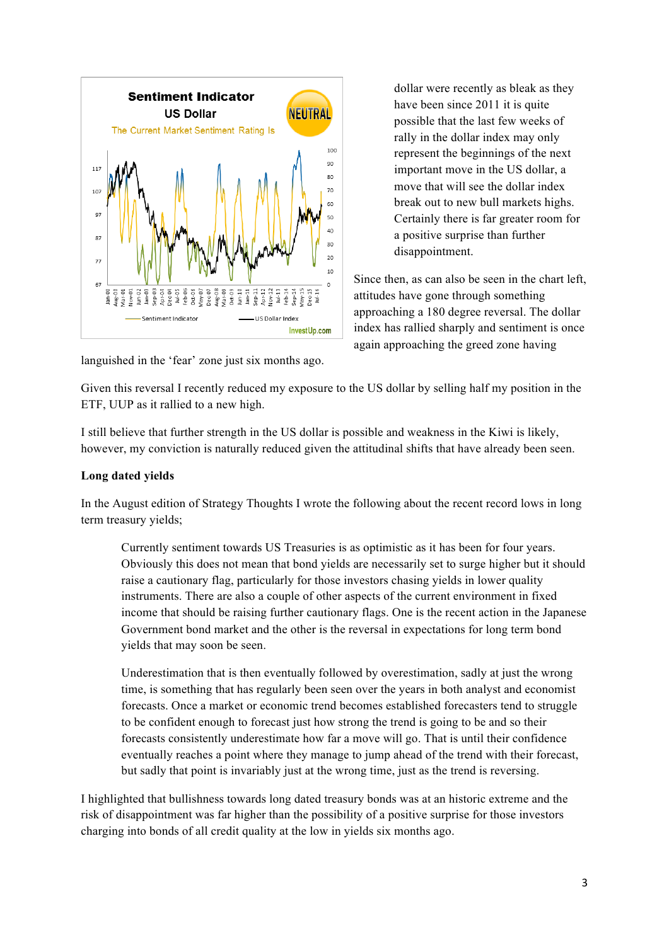

dollar were recently as bleak as they have been since 2011 it is quite possible that the last few weeks of rally in the dollar index may only represent the beginnings of the next important move in the US dollar, a move that will see the dollar index break out to new bull markets highs. Certainly there is far greater room for a positive surprise than further disappointment.

Since then, as can also be seen in the chart left, attitudes have gone through something approaching a 180 degree reversal. The dollar index has rallied sharply and sentiment is once again approaching the greed zone having

languished in the 'fear' zone just six months ago.

Given this reversal I recently reduced my exposure to the US dollar by selling half my position in the ETF, UUP as it rallied to a new high.

I still believe that further strength in the US dollar is possible and weakness in the Kiwi is likely, however, my conviction is naturally reduced given the attitudinal shifts that have already been seen.

#### **Long dated yields**

In the August edition of Strategy Thoughts I wrote the following about the recent record lows in long term treasury yields;

Currently sentiment towards US Treasuries is as optimistic as it has been for four years. Obviously this does not mean that bond yields are necessarily set to surge higher but it should raise a cautionary flag, particularly for those investors chasing yields in lower quality instruments. There are also a couple of other aspects of the current environment in fixed income that should be raising further cautionary flags. One is the recent action in the Japanese Government bond market and the other is the reversal in expectations for long term bond yields that may soon be seen.

Underestimation that is then eventually followed by overestimation, sadly at just the wrong time, is something that has regularly been seen over the years in both analyst and economist forecasts. Once a market or economic trend becomes established forecasters tend to struggle to be confident enough to forecast just how strong the trend is going to be and so their forecasts consistently underestimate how far a move will go. That is until their confidence eventually reaches a point where they manage to jump ahead of the trend with their forecast, but sadly that point is invariably just at the wrong time, just as the trend is reversing.

I highlighted that bullishness towards long dated treasury bonds was at an historic extreme and the risk of disappointment was far higher than the possibility of a positive surprise for those investors charging into bonds of all credit quality at the low in yields six months ago.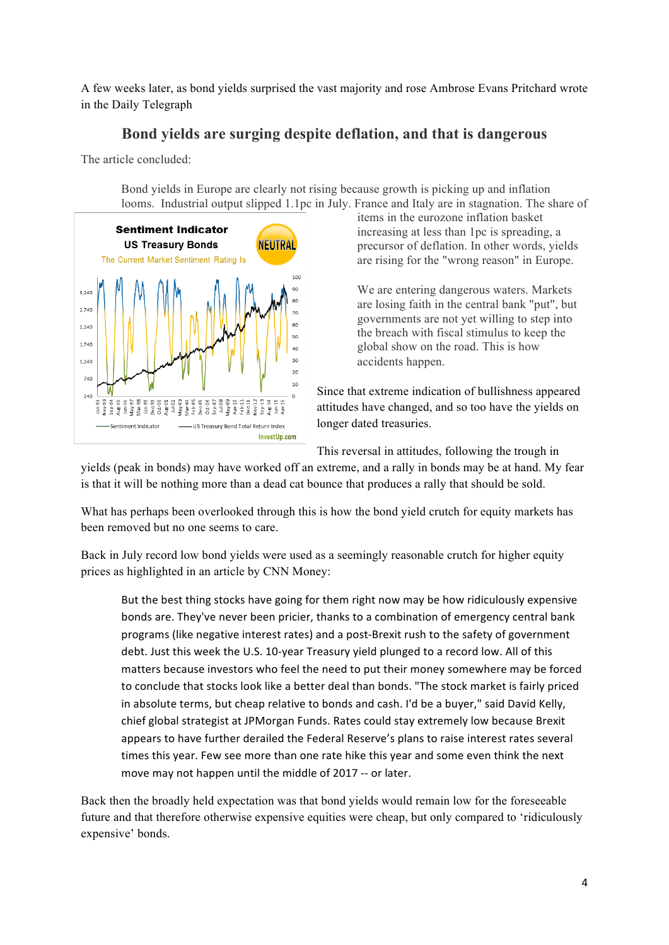A few weeks later, as bond yields surprised the vast majority and rose Ambrose Evans Pritchard wrote in the Daily Telegraph

## **Bond yields are surging despite deflation, and that is dangerous**

The article concluded:

Bond yields in Europe are clearly not rising because growth is picking up and inflation looms. Industrial output slipped 1.1pc in July. France and Italy are in stagnation. The share of



items in the eurozone inflation basket increasing at less than 1pc is spreading, a precursor of deflation. In other words, yields are rising for the "wrong reason" in Europe.

We are entering dangerous waters. Markets are losing faith in the central bank "put", but governments are not yet willing to step into the breach with fiscal stimulus to keep the global show on the road. This is how accidents happen.

Since that extreme indication of bullishness appeared attitudes have changed, and so too have the yields on longer dated treasuries.

This reversal in attitudes, following the trough in

yields (peak in bonds) may have worked off an extreme, and a rally in bonds may be at hand. My fear is that it will be nothing more than a dead cat bounce that produces a rally that should be sold.

What has perhaps been overlooked through this is how the bond yield crutch for equity markets has been removed but no one seems to care.

Back in July record low bond yields were used as a seemingly reasonable crutch for higher equity prices as highlighted in an article by CNN Money:

But the best thing stocks have going for them right now may be how ridiculously expensive bonds are. They've never been pricier, thanks to a combination of emergency central bank programs (like negative interest rates) and a post-Brexit rush to the safety of government debt. Just this week the U.S. 10-year Treasury yield plunged to a record low. All of this matters because investors who feel the need to put their money somewhere may be forced to conclude that stocks look like a better deal than bonds. "The stock market is fairly priced in absolute terms, but cheap relative to bonds and cash. I'd be a buyer," said David Kelly, chief global strategist at JPMorgan Funds. Rates could stay extremely low because Brexit appears to have further derailed the Federal Reserve's plans to raise interest rates several times this year. Few see more than one rate hike this year and some even think the next move may not happen until the middle of 2017 -- or later.

Back then the broadly held expectation was that bond yields would remain low for the foreseeable future and that therefore otherwise expensive equities were cheap, but only compared to 'ridiculously expensive' bonds.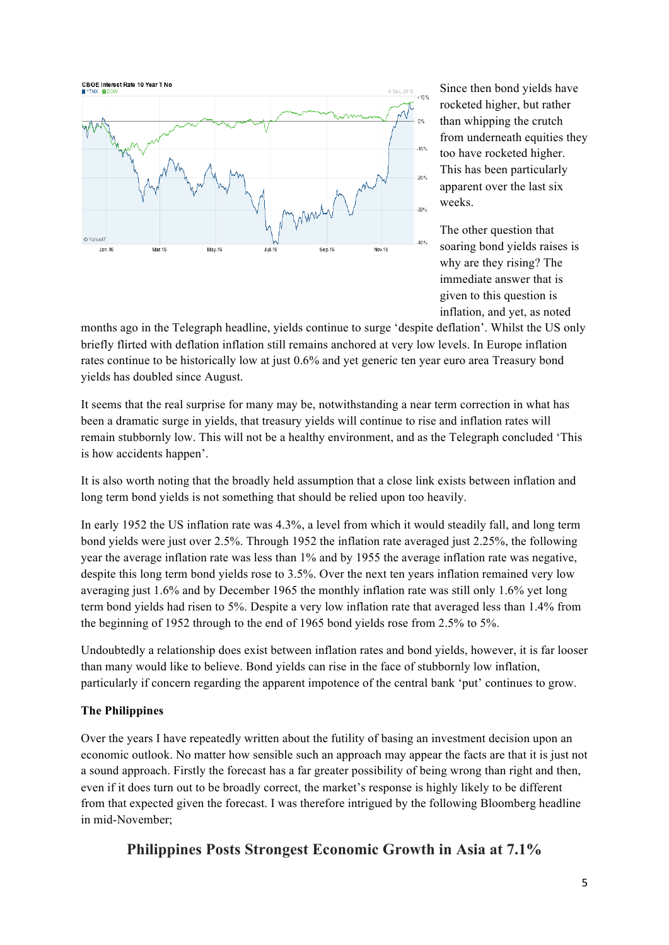

Since then bond yields have rocketed higher, but rather than whipping the crutch from underneath equities they too have rocketed higher. This has been particularly apparent over the last six weeks.

The other question that soaring bond yields raises is why are they rising? The immediate answer that is given to this question is inflation, and yet, as noted

months ago in the Telegraph headline, yields continue to surge 'despite deflation'. Whilst the US only briefly flirted with deflation inflation still remains anchored at very low levels. In Europe inflation rates continue to be historically low at just 0.6% and yet generic ten year euro area Treasury bond yields has doubled since August.

It seems that the real surprise for many may be, notwithstanding a near term correction in what has been a dramatic surge in yields, that treasury yields will continue to rise and inflation rates will remain stubbornly low. This will not be a healthy environment, and as the Telegraph concluded 'This is how accidents happen'.

It is also worth noting that the broadly held assumption that a close link exists between inflation and long term bond yields is not something that should be relied upon too heavily.

In early 1952 the US inflation rate was 4.3%, a level from which it would steadily fall, and long term bond yields were just over 2.5%. Through 1952 the inflation rate averaged just 2.25%, the following year the average inflation rate was less than 1% and by 1955 the average inflation rate was negative, despite this long term bond yields rose to 3.5%. Over the next ten years inflation remained very low averaging just 1.6% and by December 1965 the monthly inflation rate was still only 1.6% yet long term bond yields had risen to 5%. Despite a very low inflation rate that averaged less than 1.4% from the beginning of 1952 through to the end of 1965 bond yields rose from 2.5% to 5%.

Undoubtedly a relationship does exist between inflation rates and bond yields, however, it is far looser than many would like to believe. Bond yields can rise in the face of stubbornly low inflation, particularly if concern regarding the apparent impotence of the central bank 'put' continues to grow.

### **The Philippines**

Over the years I have repeatedly written about the futility of basing an investment decision upon an economic outlook. No matter how sensible such an approach may appear the facts are that it is just not a sound approach. Firstly the forecast has a far greater possibility of being wrong than right and then, even if it does turn out to be broadly correct, the market's response is highly likely to be different from that expected given the forecast. I was therefore intrigued by the following Bloomberg headline in mid-November;

## **Philippines Posts Strongest Economic Growth in Asia at 7.1%**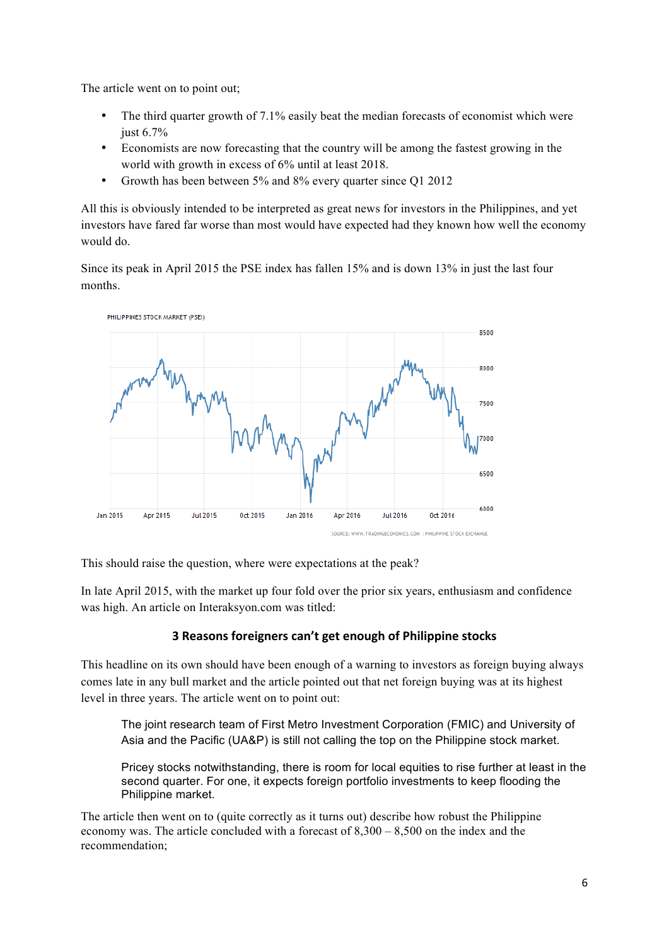The article went on to point out;

- The third quarter growth of 7.1% easily beat the median forecasts of economist which were just 6.7%
- Economists are now forecasting that the country will be among the fastest growing in the world with growth in excess of 6% until at least 2018.
- Growth has been between 5% and 8% every quarter since Q1 2012

All this is obviously intended to be interpreted as great news for investors in the Philippines, and yet investors have fared far worse than most would have expected had they known how well the economy would do.

Since its peak in April 2015 the PSE index has fallen 15% and is down 13% in just the last four months.



This should raise the question, where were expectations at the peak?

In late April 2015, with the market up four fold over the prior six years, enthusiasm and confidence was high. An article on Interaksyon.com was titled:

### **3 Reasons foreigners can't get enough of Philippine stocks**

This headline on its own should have been enough of a warning to investors as foreign buying always comes late in any bull market and the article pointed out that net foreign buying was at its highest level in three years. The article went on to point out:

The joint research team of First Metro Investment Corporation (FMIC) and University of Asia and the Pacific (UA&P) is still not calling the top on the Philippine stock market.

Pricey stocks notwithstanding, there is room for local equities to rise further at least in the second quarter. For one, it expects foreign portfolio investments to keep flooding the Philippine market.

The article then went on to (quite correctly as it turns out) describe how robust the Philippine economy was. The article concluded with a forecast of 8,300 – 8,500 on the index and the recommendation;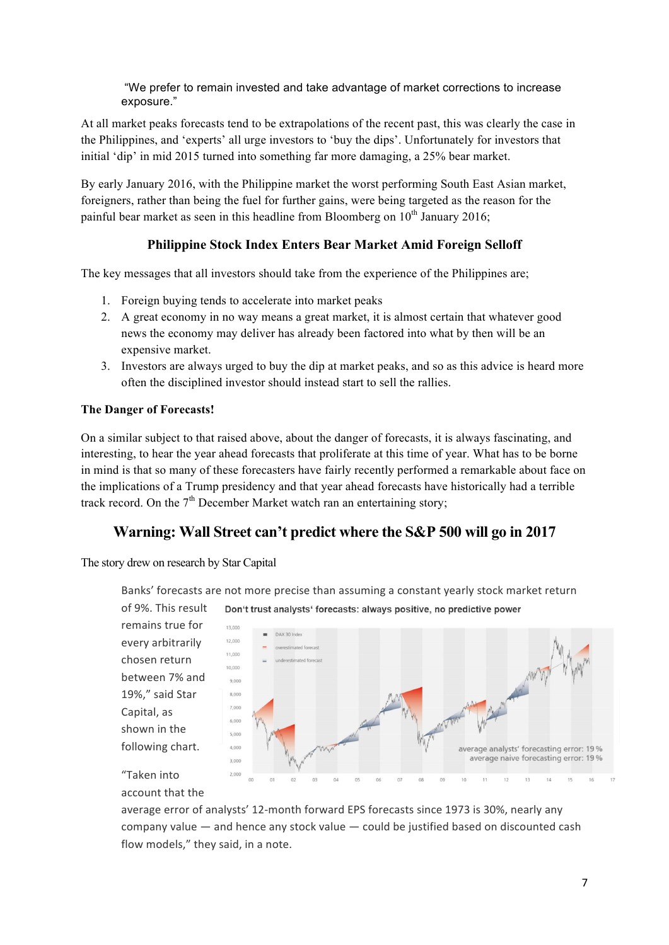"We prefer to remain invested and take advantage of market corrections to increase exposure."

At all market peaks forecasts tend to be extrapolations of the recent past, this was clearly the case in the Philippines, and 'experts' all urge investors to 'buy the dips'. Unfortunately for investors that initial 'dip' in mid 2015 turned into something far more damaging, a 25% bear market.

By early January 2016, with the Philippine market the worst performing South East Asian market, foreigners, rather than being the fuel for further gains, were being targeted as the reason for the painful bear market as seen in this headline from Bloomberg on  $10<sup>th</sup>$  January 2016;

## **Philippine Stock Index Enters Bear Market Amid Foreign Selloff**

The key messages that all investors should take from the experience of the Philippines are;

- 1. Foreign buying tends to accelerate into market peaks
- 2. A great economy in no way means a great market, it is almost certain that whatever good news the economy may deliver has already been factored into what by then will be an expensive market.
- 3. Investors are always urged to buy the dip at market peaks, and so as this advice is heard more often the disciplined investor should instead start to sell the rallies.

### **The Danger of Forecasts!**

On a similar subject to that raised above, about the danger of forecasts, it is always fascinating, and interesting, to hear the year ahead forecasts that proliferate at this time of year. What has to be borne in mind is that so many of these forecasters have fairly recently performed a remarkable about face on the implications of a Trump presidency and that year ahead forecasts have historically had a terrible track record. On the  $7<sup>th</sup>$  December Market watch ran an entertaining story;

# **Warning: Wall Street can't predict where the S&P 500 will go in 2017**

The story drew on research by Star Capital

Banks' forecasts are not more precise than assuming a constant yearly stock market return of 9%. This result Don't trust analysts' forecasts: always positive, no predictive power



account that the

average error of analysts' 12-month forward EPS forecasts since 1973 is 30%, nearly any company value  $-$  and hence any stock value  $-$  could be justified based on discounted cash flow models," they said, in a note.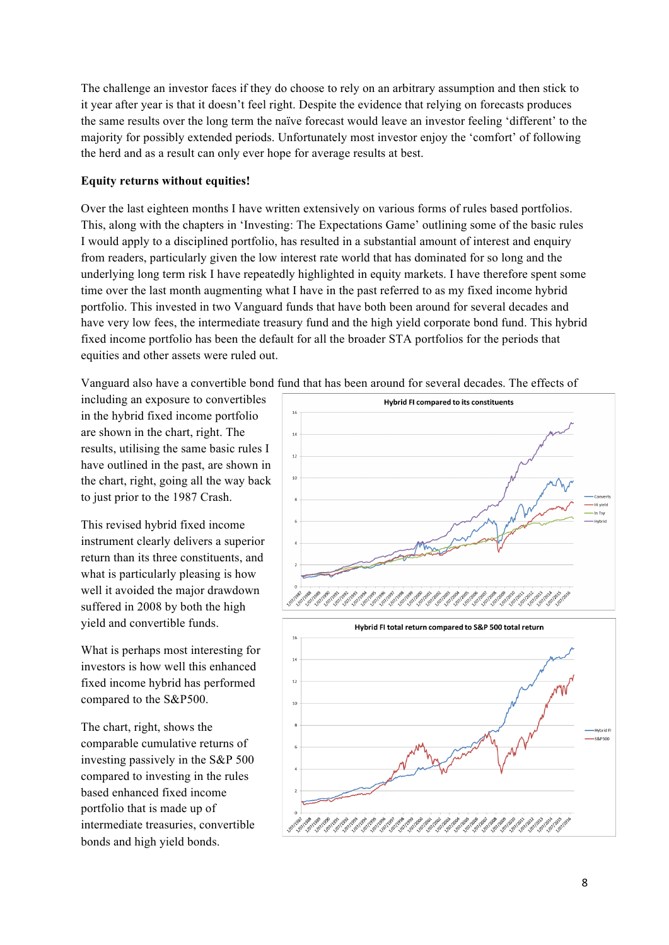The challenge an investor faces if they do choose to rely on an arbitrary assumption and then stick to it year after year is that it doesn't feel right. Despite the evidence that relying on forecasts produces the same results over the long term the naïve forecast would leave an investor feeling 'different' to the majority for possibly extended periods. Unfortunately most investor enjoy the 'comfort' of following the herd and as a result can only ever hope for average results at best.

### **Equity returns without equities!**

Over the last eighteen months I have written extensively on various forms of rules based portfolios. This, along with the chapters in 'Investing: The Expectations Game' outlining some of the basic rules I would apply to a disciplined portfolio, has resulted in a substantial amount of interest and enquiry from readers, particularly given the low interest rate world that has dominated for so long and the underlying long term risk I have repeatedly highlighted in equity markets. I have therefore spent some time over the last month augmenting what I have in the past referred to as my fixed income hybrid portfolio. This invested in two Vanguard funds that have both been around for several decades and have very low fees, the intermediate treasury fund and the high yield corporate bond fund. This hybrid fixed income portfolio has been the default for all the broader STA portfolios for the periods that equities and other assets were ruled out.

Vanguard also have a convertible bond fund that has been around for several decades. The effects of

including an exposure to convertibles in the hybrid fixed income portfolio are shown in the chart, right. The results, utilising the same basic rules I have outlined in the past, are shown in the chart, right, going all the way back to just prior to the 1987 Crash.

This revised hybrid fixed income instrument clearly delivers a superior return than its three constituents, and what is particularly pleasing is how well it avoided the major drawdown suffered in 2008 by both the high yield and convertible funds.

What is perhaps most interesting for investors is how well this enhanced fixed income hybrid has performed compared to the S&P500.

The chart, right, shows the comparable cumulative returns of investing passively in the S&P 500 compared to investing in the rules based enhanced fixed income portfolio that is made up of intermediate treasuries, convertible bonds and high yield bonds.